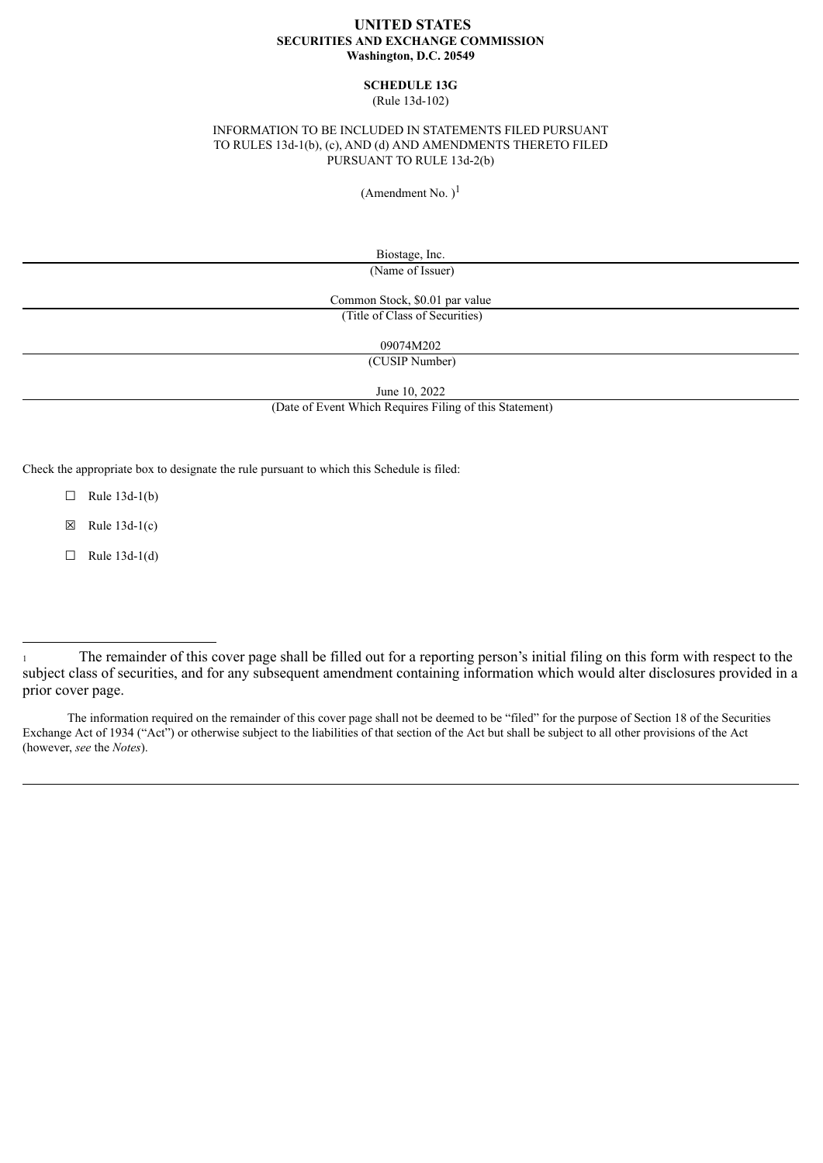#### **UNITED STATES SECURITIES AND EXCHANGE COMMISSION Washington, D.C. 20549**

## **SCHEDULE 13G**

(Rule 13d-102)

#### INFORMATION TO BE INCLUDED IN STATEMENTS FILED PURSUANT TO RULES 13d-1(b), (c), AND (d) AND AMENDMENTS THERETO FILED PURSUANT TO RULE 13d-2(b)

(Amendment No.  $)^{1}$ 

Biostage, Inc. (Name of Issuer)

Common Stock, \$0.01 par value (Title of Class of Securities)

09074M202

(CUSIP Number)

June 10, 2022

(Date of Event Which Requires Filing of this Statement)

Check the appropriate box to designate the rule pursuant to which this Schedule is filed:

 $\Box$  Rule 13d-1(b)

 $\boxtimes$  Rule 13d-1(c)

 $\Box$  Rule 13d-1(d)

The information required on the remainder of this cover page shall not be deemed to be "filed" for the purpose of Section 18 of the Securities Exchange Act of 1934 ("Act") or otherwise subject to the liabilities of that section of the Act but shall be subject to all other provisions of the Act (however, *see* the *Notes*).

<sup>1</sup> The remainder of this cover page shall be filled out for a reporting person's initial filing on this form with respect to the subject class of securities, and for any subsequent amendment containing information which would alter disclosures provided in a prior cover page.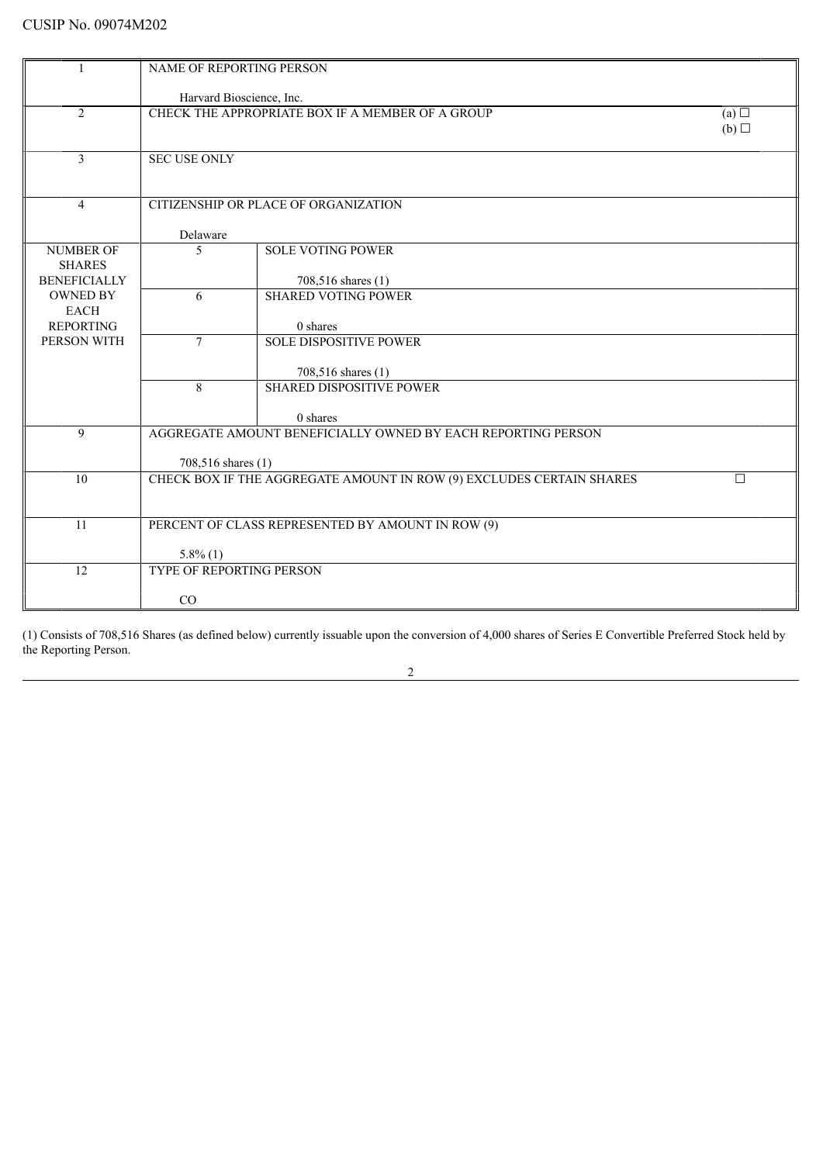|                                      | <b>NAME OF REPORTING PERSON</b>                              |                                                                      |        |  |  |
|--------------------------------------|--------------------------------------------------------------|----------------------------------------------------------------------|--------|--|--|
|                                      |                                                              |                                                                      |        |  |  |
|                                      |                                                              | Harvard Bioscience, Inc.                                             |        |  |  |
| 2                                    |                                                              | CHECK THE APPROPRIATE BOX IF A MEMBER OF A GROUP                     |        |  |  |
|                                      |                                                              |                                                                      | (b)    |  |  |
|                                      |                                                              |                                                                      |        |  |  |
| 3                                    | <b>SEC USE ONLY</b>                                          |                                                                      |        |  |  |
|                                      |                                                              |                                                                      |        |  |  |
| $\overline{4}$                       | CITIZENSHIP OR PLACE OF ORGANIZATION                         |                                                                      |        |  |  |
|                                      |                                                              |                                                                      |        |  |  |
|                                      | Delaware                                                     |                                                                      |        |  |  |
| <b>NUMBER OF</b>                     | 5                                                            | <b>SOLE VOTING POWER</b>                                             |        |  |  |
| <b>SHARES</b><br><b>BENEFICIALLY</b> |                                                              |                                                                      |        |  |  |
| <b>OWNED BY</b>                      | 6                                                            | 708,516 shares (1)<br><b>SHARED VOTING POWER</b>                     |        |  |  |
| <b>EACH</b>                          |                                                              |                                                                      |        |  |  |
| <b>REPORTING</b>                     |                                                              | 0 shares                                                             |        |  |  |
| PERSON WITH                          | $\overline{7}$                                               | <b>SOLE DISPOSITIVE POWER</b>                                        |        |  |  |
|                                      |                                                              |                                                                      |        |  |  |
|                                      |                                                              | 708,516 shares (1)                                                   |        |  |  |
|                                      | $\mathbf{8}$                                                 | <b>SHARED DISPOSITIVE POWER</b>                                      |        |  |  |
|                                      |                                                              | 0 shares                                                             |        |  |  |
| 9                                    | AGGREGATE AMOUNT BENEFICIALLY OWNED BY EACH REPORTING PERSON |                                                                      |        |  |  |
|                                      |                                                              |                                                                      |        |  |  |
|                                      | 708,516 shares (1)                                           |                                                                      |        |  |  |
| 10                                   |                                                              | CHECK BOX IF THE AGGREGATE AMOUNT IN ROW (9) EXCLUDES CERTAIN SHARES | $\Box$ |  |  |
|                                      |                                                              |                                                                      |        |  |  |
| 11                                   |                                                              | PERCENT OF CLASS REPRESENTED BY AMOUNT IN ROW (9)                    |        |  |  |
|                                      |                                                              |                                                                      |        |  |  |
|                                      | $5.8\%$ (1)                                                  |                                                                      |        |  |  |
| 12                                   | TYPE OF REPORTING PERSON                                     |                                                                      |        |  |  |
|                                      |                                                              |                                                                      |        |  |  |
|                                      | CO                                                           |                                                                      |        |  |  |

(1) Consists of 708,516 Shares (as defined below) currently issuable upon the conversion of 4,000 shares of Series E Convertible Preferred Stock held by the Reporting Person.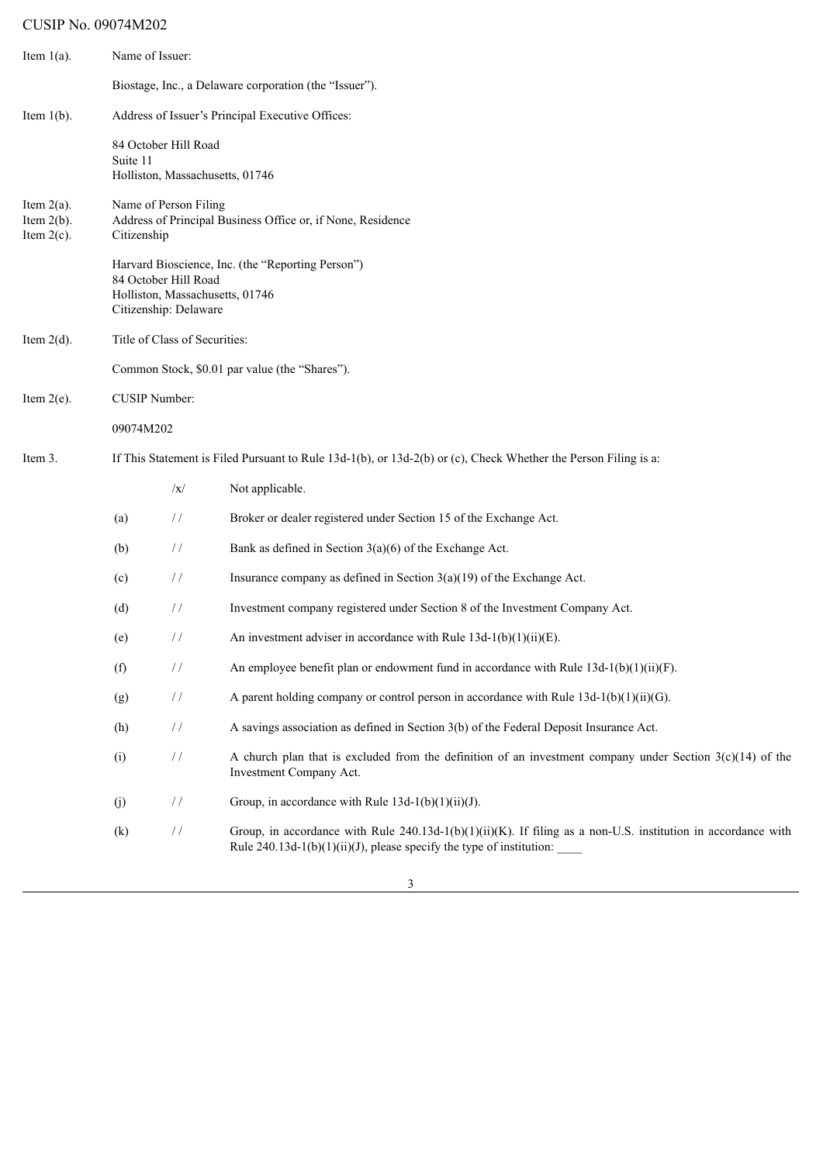# CUSIP No. 09074M202

| Item $1(a)$ .                                   | Name of Issuer:                                                                                                 |                                                                                  |                                                                                                                                                                                             |  |  |
|-------------------------------------------------|-----------------------------------------------------------------------------------------------------------------|----------------------------------------------------------------------------------|---------------------------------------------------------------------------------------------------------------------------------------------------------------------------------------------|--|--|
|                                                 |                                                                                                                 |                                                                                  | Biostage, Inc., a Delaware corporation (the "Issuer").                                                                                                                                      |  |  |
| Item $1(b)$ .                                   |                                                                                                                 |                                                                                  | Address of Issuer's Principal Executive Offices:                                                                                                                                            |  |  |
|                                                 | Suite 11                                                                                                        | 84 October Hill Road<br>Holliston, Massachusetts, 01746                          |                                                                                                                                                                                             |  |  |
| Item $2(a)$ .<br>Item $2(b)$ .<br>Item $2(c)$ . | Citizenship                                                                                                     | Name of Person Filing                                                            | Address of Principal Business Office or, if None, Residence                                                                                                                                 |  |  |
|                                                 |                                                                                                                 | 84 October Hill Road<br>Holliston, Massachusetts, 01746<br>Citizenship: Delaware | Harvard Bioscience, Inc. (the "Reporting Person")                                                                                                                                           |  |  |
| Item $2(d)$ .                                   | Title of Class of Securities:                                                                                   |                                                                                  |                                                                                                                                                                                             |  |  |
|                                                 |                                                                                                                 |                                                                                  | Common Stock, \$0.01 par value (the "Shares").                                                                                                                                              |  |  |
| Item $2(e)$ .                                   | <b>CUSIP Number:</b>                                                                                            |                                                                                  |                                                                                                                                                                                             |  |  |
|                                                 | 09074M202                                                                                                       |                                                                                  |                                                                                                                                                                                             |  |  |
| Item 3.                                         | If This Statement is Filed Pursuant to Rule 13d-1(b), or 13d-2(b) or (c), Check Whether the Person Filing is a: |                                                                                  |                                                                                                                                                                                             |  |  |
|                                                 |                                                                                                                 | $ {\bf x} $                                                                      | Not applicable.                                                                                                                                                                             |  |  |
|                                                 | (a)                                                                                                             | $\frac{1}{2}$                                                                    | Broker or dealer registered under Section 15 of the Exchange Act.                                                                                                                           |  |  |
|                                                 | (b)                                                                                                             | $\frac{1}{2}$                                                                    | Bank as defined in Section $3(a)(6)$ of the Exchange Act.                                                                                                                                   |  |  |
|                                                 | (c)                                                                                                             | $\frac{1}{2}$                                                                    | Insurance company as defined in Section $3(a)(19)$ of the Exchange Act.                                                                                                                     |  |  |
|                                                 | (d)                                                                                                             | $\frac{1}{2}$                                                                    | Investment company registered under Section 8 of the Investment Company Act.                                                                                                                |  |  |
|                                                 | (e)                                                                                                             | $\frac{1}{2}$                                                                    | An investment adviser in accordance with Rule $13d-1(b)(1)(ii)(E)$ .                                                                                                                        |  |  |
|                                                 | (f)                                                                                                             | $\!/\!$                                                                          | An employee benefit plan or endowment fund in accordance with Rule $13d-1(b)(1)(ii)(F)$ .                                                                                                   |  |  |
|                                                 | (g)                                                                                                             | $\!/\!$                                                                          | A parent holding company or control person in accordance with Rule $13d-1(b)(1)(ii)(G)$ .                                                                                                   |  |  |
|                                                 | (h)                                                                                                             | $\!/\!$                                                                          | A savings association as defined in Section 3(b) of the Federal Deposit Insurance Act.                                                                                                      |  |  |
|                                                 | (i)                                                                                                             | $\!/\!$                                                                          | A church plan that is excluded from the definition of an investment company under Section $3(c)(14)$ of the<br>Investment Company Act.                                                      |  |  |
|                                                 | (j)                                                                                                             | $\!/\!$                                                                          | Group, in accordance with Rule $13d-1(b)(1)(ii)(J)$ .                                                                                                                                       |  |  |
|                                                 | (k)                                                                                                             | $\!/\!$                                                                          | Group, in accordance with Rule $240.13d-1(b)(1)(ii)(K)$ . If filing as a non-U.S. institution in accordance with<br>Rule $240.13d-1(b)(1)(ii)(J)$ , please specify the type of institution: |  |  |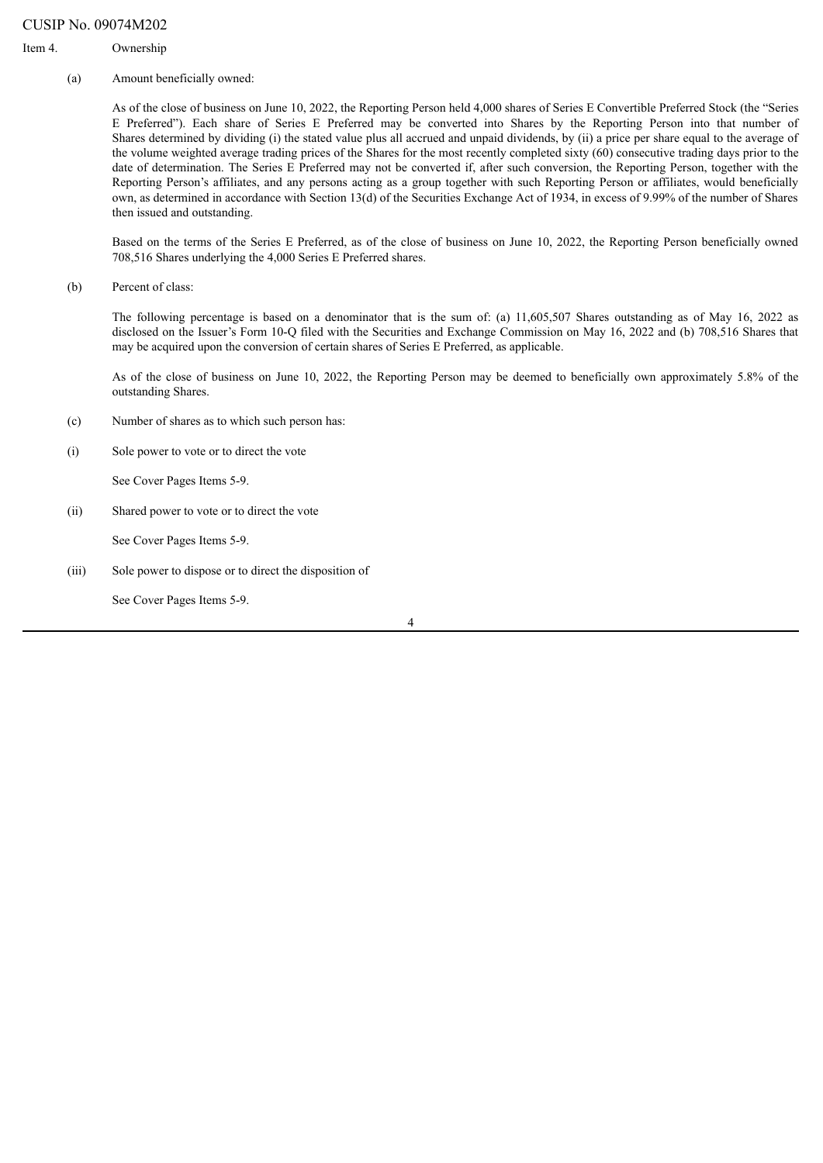#### CUSIP No. 09074M202

#### Item 4. Ownership

(a) Amount beneficially owned:

As of the close of business on June 10, 2022, the Reporting Person held 4,000 shares of Series E Convertible Preferred Stock (the "Series E Preferred"). Each share of Series E Preferred may be converted into Shares by the Reporting Person into that number of Shares determined by dividing (i) the stated value plus all accrued and unpaid dividends, by (ii) a price per share equal to the average of the volume weighted average trading prices of the Shares for the most recently completed sixty (60) consecutive trading days prior to the date of determination. The Series E Preferred may not be converted if, after such conversion, the Reporting Person, together with the Reporting Person's affiliates, and any persons acting as a group together with such Reporting Person or affiliates, would beneficially own, as determined in accordance with Section 13(d) of the Securities Exchange Act of 1934, in excess of 9.99% of the number of Shares then issued and outstanding.

Based on the terms of the Series E Preferred, as of the close of business on June 10, 2022, the Reporting Person beneficially owned 708,516 Shares underlying the 4,000 Series E Preferred shares.

(b) Percent of class:

The following percentage is based on a denominator that is the sum of: (a) 11,605,507 Shares outstanding as of May 16, 2022 as disclosed on the Issuer's Form 10-Q filed with the Securities and Exchange Commission on May 16, 2022 and (b) 708,516 Shares that may be acquired upon the conversion of certain shares of Series E Preferred, as applicable.

As of the close of business on June 10, 2022, the Reporting Person may be deemed to beneficially own approximately 5.8% of the outstanding Shares.

- (c) Number of shares as to which such person has:
- (i) Sole power to vote or to direct the vote

See Cover Pages Items 5-9.

(ii) Shared power to vote or to direct the vote

See Cover Pages Items 5-9.

(iii) Sole power to dispose or to direct the disposition of

See Cover Pages Items 5-9.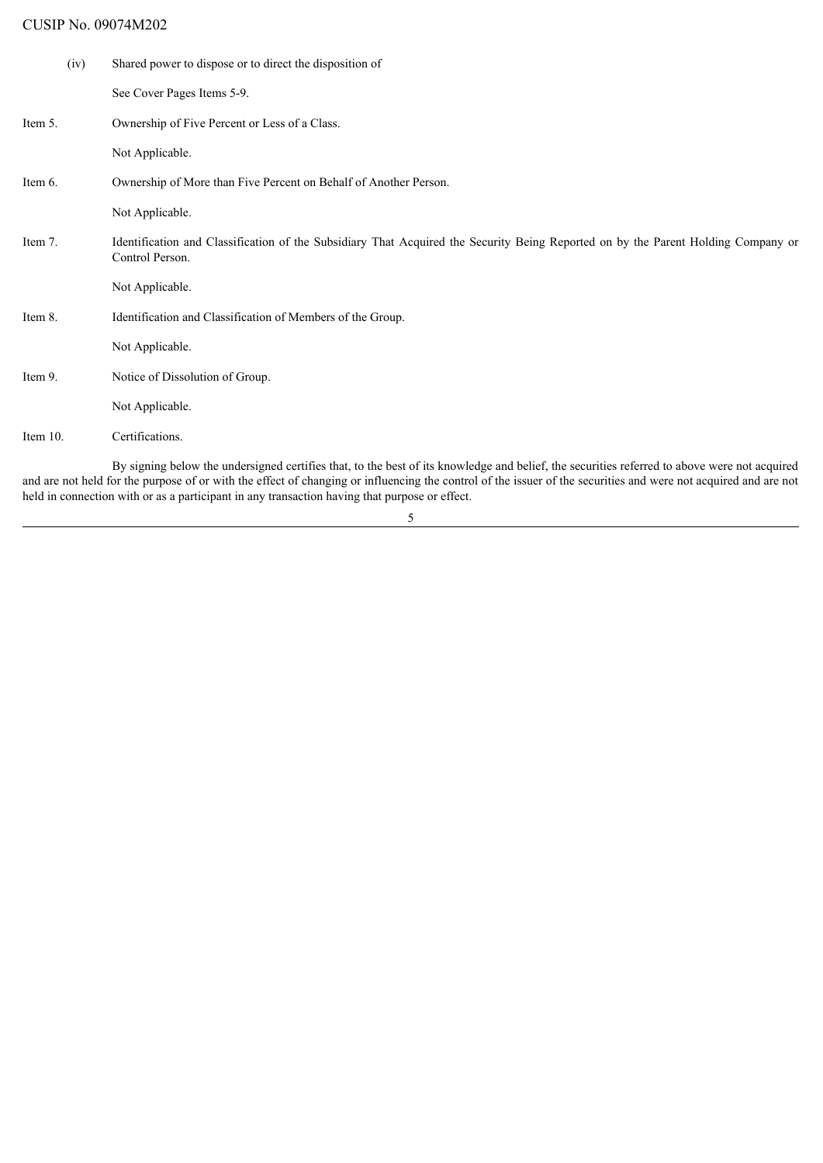# CUSIP No. 09074M202

| (iv)        | Shared power to dispose or to direct the disposition of                                                                                                                                                                                                                                                         |
|-------------|-----------------------------------------------------------------------------------------------------------------------------------------------------------------------------------------------------------------------------------------------------------------------------------------------------------------|
|             | See Cover Pages Items 5-9.                                                                                                                                                                                                                                                                                      |
| Item 5.     | Ownership of Five Percent or Less of a Class.                                                                                                                                                                                                                                                                   |
|             | Not Applicable.                                                                                                                                                                                                                                                                                                 |
| Item 6.     | Ownership of More than Five Percent on Behalf of Another Person.                                                                                                                                                                                                                                                |
|             | Not Applicable.                                                                                                                                                                                                                                                                                                 |
| Item 7.     | Identification and Classification of the Subsidiary That Acquired the Security Being Reported on by the Parent Holding Company or<br>Control Person.                                                                                                                                                            |
|             | Not Applicable.                                                                                                                                                                                                                                                                                                 |
| Item 8.     | Identification and Classification of Members of the Group.                                                                                                                                                                                                                                                      |
|             | Not Applicable.                                                                                                                                                                                                                                                                                                 |
| Item 9.     | Notice of Dissolution of Group.                                                                                                                                                                                                                                                                                 |
|             | Not Applicable.                                                                                                                                                                                                                                                                                                 |
| Item $10$ . | Certifications.                                                                                                                                                                                                                                                                                                 |
|             | By signing below the undersigned certifies that, to the best of its knowledge and belief, the securities referred to above were not acquired<br>and are not held for the purpose of or with the effect of changing or influencing the control of the issuer of the securities and were not acquired and are not |

5

held in connection with or as a participant in any transaction having that purpose or effect.